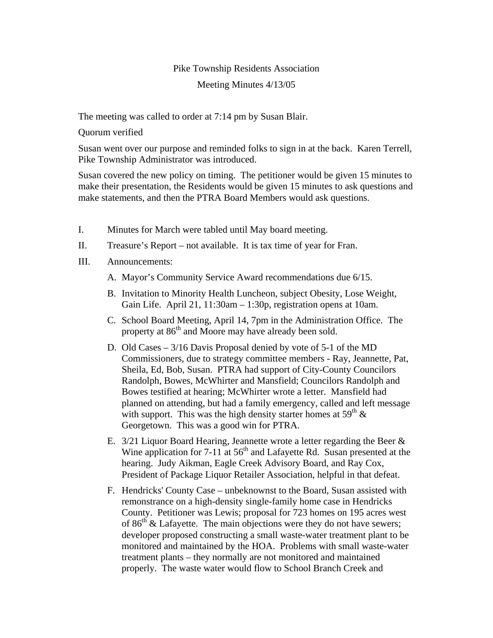## Pike Township Residents Association Meeting Minutes 4/13/05

The meeting was called to order at 7:14 pm by Susan Blair.

Quorum verified

Susan went over our purpose and reminded folks to sign in at the back. Karen Terrell, Pike Township Administrator was introduced.

Susan covered the new policy on timing. The petitioner would be given 15 minutes to make their presentation, the Residents would be given 15 minutes to ask questions and make statements, and then the PTRA Board Members would ask questions.

- I. Minutes for March were tabled until May board meeting.
- II. Treasure's Report not available. It is tax time of year for Fran.
- III. Announcements:
	- A. Mayor's Community Service Award recommendations due 6/15.
	- B. Invitation to Minority Health Luncheon, subject Obesity, Lose Weight, Gain Life. April 21, 11:30am – 1:30p, registration opens at 10am.
	- C. School Board Meeting, April 14, 7pm in the Administration Office. The property at 86<sup>th</sup> and Moore may have already been sold.
	- D. Old Cases 3/16 Davis Proposal denied by vote of 5-1 of the MD Commissioners, due to strategy committee members - Ray, Jeannette, Pat, Sheila, Ed, Bob, Susan. PTRA had support of City-County Councilors Randolph, Bowes, McWhirter and Mansfield; Councilors Randolph and Bowes testified at hearing; McWhirter wrote a letter. Mansfield had planned on attending, but had a family emergency, called and left message with support. This was the high density starter homes at  $59<sup>th</sup> \&$ Georgetown. This was a good win for PTRA.
	- E.  $3/21$  Liquor Board Hearing, Jeannette wrote a letter regarding the Beer  $\&$ Wine application for 7-11 at  $56<sup>th</sup>$  and Lafayette Rd. Susan presented at the hearing. Judy Aikman, Eagle Creek Advisory Board, and Ray Cox, President of Package Liquor Retailer Association, helpful in that defeat.
	- F. Hendricks' County Case unbeknownst to the Board, Susan assisted with remonstrance on a high-density single-family home case in Hendricks County. Petitioner was Lewis; proposal for 723 homes on 195 acres west of  $86<sup>th</sup>$  & Lafayette. The main objections were they do not have sewers; developer proposed constructing a small waste-water treatment plant to be monitored and maintained by the HOA. Problems with small waste-water treatment plants – they normally are not monitored and maintained properly. The waste water would flow to School Branch Creek and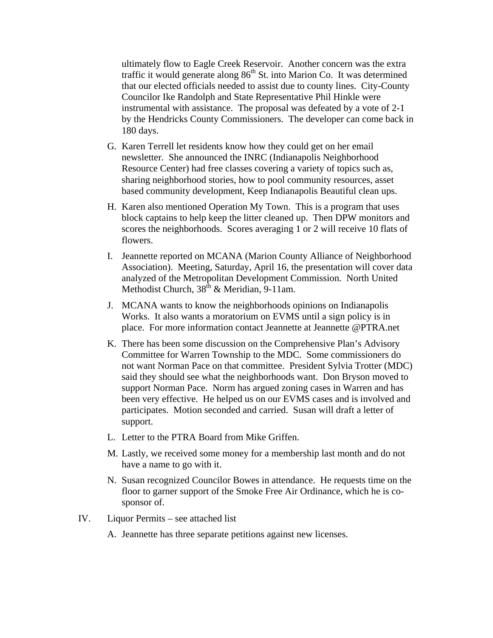ultimately flow to Eagle Creek Reservoir. Another concern was the extra traffic it would generate along  $86<sup>th</sup>$  St. into Marion Co. It was determined that our elected officials needed to assist due to county lines. City-County Councilor Ike Randolph and State Representative Phil Hinkle were instrumental with assistance. The proposal was defeated by a vote of 2-1 by the Hendricks County Commissioners. The developer can come back in 180 days.

- G. Karen Terrell let residents know how they could get on her email newsletter. She announced the INRC (Indianapolis Neighborhood Resource Center) had free classes covering a variety of topics such as, sharing neighborhood stories, how to pool community resources, asset based community development, Keep Indianapolis Beautiful clean ups.
- H. Karen also mentioned Operation My Town. This is a program that uses block captains to help keep the litter cleaned up. Then DPW monitors and scores the neighborhoods. Scores averaging 1 or 2 will receive 10 flats of flowers.
- I. Jeannette reported on MCANA (Marion County Alliance of Neighborhood Association). Meeting, Saturday, April 16, the presentation will cover data analyzed of the Metropolitan Development Commission. North United Methodist Church,  $38<sup>th</sup>$  & Meridian, 9-11am.
- J. MCANA wants to know the neighborhoods opinions on Indianapolis Works. It also wants a moratorium on EVMS until a sign policy is in place. For more information contact Jeannette at Jeannette @PTRA.net
- K. There has been some discussion on the Comprehensive Plan's Advisory Committee for Warren Township to the MDC. Some commissioners do not want Norman Pace on that committee. President Sylvia Trotter (MDC) said they should see what the neighborhoods want. Don Bryson moved to support Norman Pace. Norm has argued zoning cases in Warren and has been very effective. He helped us on our EVMS cases and is involved and participates. Motion seconded and carried. Susan will draft a letter of support.
- L. Letter to the PTRA Board from Mike Griffen.
- M. Lastly, we received some money for a membership last month and do not have a name to go with it.
- N. Susan recognized Councilor Bowes in attendance. He requests time on the floor to garner support of the Smoke Free Air Ordinance, which he is cosponsor of.
- IV. Liquor Permits see attached list
	- A. Jeannette has three separate petitions against new licenses.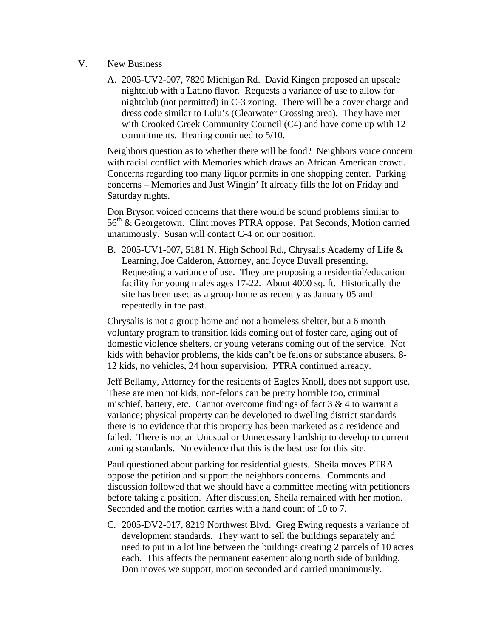- V. New Business
	- A. 2005-UV2-007, 7820 Michigan Rd. David Kingen proposed an upscale nightclub with a Latino flavor. Requests a variance of use to allow for nightclub (not permitted) in C-3 zoning. There will be a cover charge and dress code similar to Lulu's (Clearwater Crossing area). They have met with Crooked Creek Community Council (C4) and have come up with 12 commitments. Hearing continued to 5/10.

Neighbors question as to whether there will be food? Neighbors voice concern with racial conflict with Memories which draws an African American crowd. Concerns regarding too many liquor permits in one shopping center. Parking concerns – Memories and Just Wingin' It already fills the lot on Friday and Saturday nights.

Don Bryson voiced concerns that there would be sound problems similar to 56<sup>th</sup> & Georgetown. Clint moves PTRA oppose. Pat Seconds, Motion carried unanimously. Susan will contact C-4 on our position.

B. 2005-UV1-007, 5181 N. High School Rd., Chrysalis Academy of Life & Learning, Joe Calderon, Attorney, and Joyce Duvall presenting. Requesting a variance of use. They are proposing a residential/education facility for young males ages 17-22. About 4000 sq. ft. Historically the site has been used as a group home as recently as January 05 and repeatedly in the past.

Chrysalis is not a group home and not a homeless shelter, but a 6 month voluntary program to transition kids coming out of foster care, aging out of domestic violence shelters, or young veterans coming out of the service. Not kids with behavior problems, the kids can't be felons or substance abusers. 8- 12 kids, no vehicles, 24 hour supervision. PTRA continued already.

Jeff Bellamy, Attorney for the residents of Eagles Knoll, does not support use. These are men not kids, non-felons can be pretty horrible too, criminal mischief, battery, etc. Cannot overcome findings of fact  $3 \& 4$  to warrant a variance; physical property can be developed to dwelling district standards – there is no evidence that this property has been marketed as a residence and failed. There is not an Unusual or Unnecessary hardship to develop to current zoning standards. No evidence that this is the best use for this site.

Paul questioned about parking for residential guests. Sheila moves PTRA oppose the petition and support the neighbors concerns. Comments and discussion followed that we should have a committee meeting with petitioners before taking a position. After discussion, Sheila remained with her motion. Seconded and the motion carries with a hand count of 10 to 7.

C. 2005-DV2-017, 8219 Northwest Blvd. Greg Ewing requests a variance of development standards. They want to sell the buildings separately and need to put in a lot line between the buildings creating 2 parcels of 10 acres each. This affects the permanent easement along north side of building. Don moves we support, motion seconded and carried unanimously.